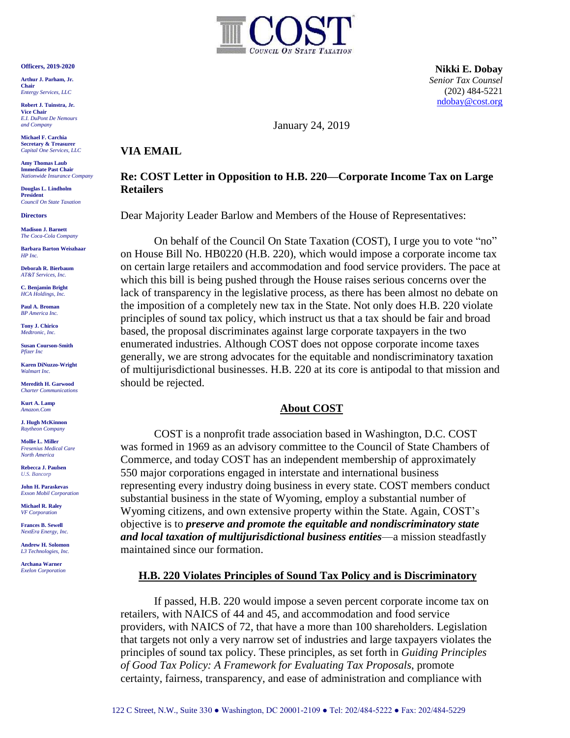**Officers, 2019-2020**

**Arthur J. Parham, Jr. Chair** *Entergy Services, LLC*

**Robert J. Tuinstra, Jr. Vice Chair** *E.I. DuPont De Nemours and Company*

**Michael F. Carchia Secretary & Treasurer** *Capital One Services, LLC*

**Amy Thomas Laub Immediate Past Chair** *Nationwide Insurance Company*

**Douglas L. Lindholm President** *Council On State Taxation*

**Directors**

**Madison J. Barnett** *The Coca-Cola Company*

**Barbara Barton Weiszhaar** *HP Inc.*

**Deborah R. Bierbaum** *AT&T Services, Inc.*

**C. Benjamin Bright** *HCA Holdings, Inc.*

**Paul A. Broman** *BP America Inc.*

**Tony J. Chirico** *Medtronic, Inc.*

**Susan Courson-Smith** *Pfizer Inc*

**Karen DiNuzzo-Wright** *Walmart Inc.*

**Meredith H. Garwood** *Charter Communications*

**Kurt A. Lamp**  *Amazon.Com*

**J. Hugh McKinnon** *Raytheon Company*

**Mollie L. Miller** *Fresenius Medical Care North America*

**Rebecca J. Paulsen** *U.S. Bancorp*

**John H. Paraskevas** *Exxon Mobil Corporation*

**Michael R. Raley** *VF Corporation*

**Frances B. Sewell** *NextEra Energy, Inc.* 

**Andrew H. Solomon** *L3 Technologies, Inc.*

**Archana Warner** *Exelon Corporation*



 **Nikki E. Dobay** *Senior Tax Counsel* (202) 484-5221 [ndobay@cost.org](mailto:ndobay@cost.org)

January 24, 2019

## **VIA EMAIL**

## **Re: COST Letter in Opposition to H.B. 220—Corporate Income Tax on Large Retailers**

Dear Majority Leader Barlow and Members of the House of Representatives:

On behalf of the Council On State Taxation (COST), I urge you to vote "no" on House Bill No. HB0220 (H.B. 220), which would impose a corporate income tax on certain large retailers and accommodation and food service providers. The pace at which this bill is being pushed through the House raises serious concerns over the lack of transparency in the legislative process, as there has been almost no debate on the imposition of a completely new tax in the State. Not only does H.B. 220 violate principles of sound tax policy, which instruct us that a tax should be fair and broad based, the proposal discriminates against large corporate taxpayers in the two enumerated industries. Although COST does not oppose corporate income taxes generally, we are strong advocates for the equitable and nondiscriminatory taxation of multijurisdictional businesses. H.B. 220 at its core is antipodal to that mission and should be rejected.

# **About COST**

COST is a nonprofit trade association based in Washington, D.C. COST was formed in 1969 as an advisory committee to the Council of State Chambers of Commerce, and today COST has an independent membership of approximately 550 major corporations engaged in interstate and international business representing every industry doing business in every state. COST members conduct substantial business in the state of Wyoming, employ a substantial number of Wyoming citizens, and own extensive property within the State. Again, COST's objective is to *preserve and promote the equitable and nondiscriminatory state and local taxation of multijurisdictional business entities*—a mission steadfastly maintained since our formation.

### **H.B. 220 Violates Principles of Sound Tax Policy and is Discriminatory**

If passed, H.B. 220 would impose a seven percent corporate income tax on retailers, with NAICS of 44 and 45, and accommodation and food service providers, with NAICS of 72, that have a more than 100 shareholders. Legislation that targets not only a very narrow set of industries and large taxpayers violates the principles of sound tax policy. These principles, as set forth in *Guiding Principles of Good Tax Policy: A Framework for Evaluating Tax Proposals*, promote certainty, fairness, transparency, and ease of administration and compliance with